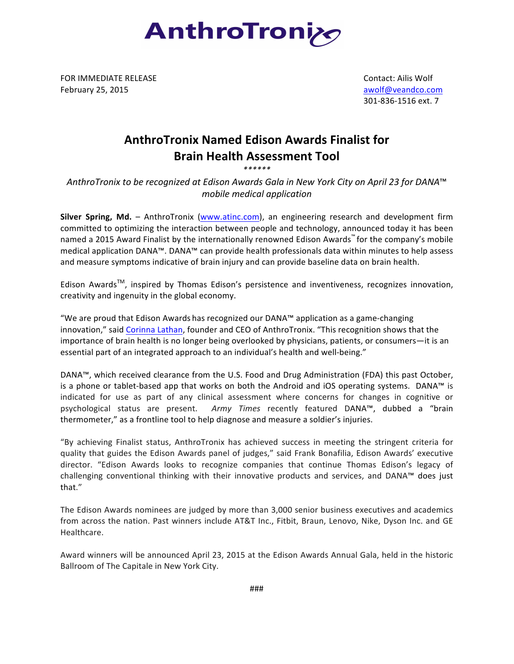

FOR IMMEDIATE RELEASE February 25, 2015

 Contact: Ailis Wolf awolf@veandco.com 301-836-1516 ext. 7

## **AnthroTronix Named Edison Awards Finalist for Brain Health Assessment Tool**

*\*\*\*\*\*\**

*AnthroTronix to be recognized at Edison Awards Gala in New York City on April 23 for DANA*™ *mobile medical application*

**Silver Spring, Md.** – AnthroTronix (www.atinc.com), an engineering research and development firm committed to optimizing the interaction between people and technology, announced today it has been named a 2015 Award Finalist by the internationally renowned Edison Awards™ for the company's mobile medical application DANA™. DANA™ can provide health professionals data within minutes to help assess and measure symptoms indicative of brain injury and can provide baseline data on brain health.

Edison Awards<sup>TM</sup>, inspired by Thomas Edison's persistence and inventiveness, recognizes innovation, creativity and ingenuity in the global economy.

"We are proud that Edison Awards has recognized our DANA™ application as a game-changing innovation," said Corinna Lathan, founder and CEO of AnthroTronix. "This recognition shows that the importance of brain health is no longer being overlooked by physicians, patients, or consumers—it is an essential part of an integrated approach to an individual's health and well-being."

DANA™, which received clearance from the U.S. Food and Drug Administration (FDA) this past October, is a phone or tablet-based app that works on both the Android and iOS operating systems. DANA™ is indicated for use as part of any clinical assessment where concerns for changes in cognitive or psychological status are present. Army Times recently featured DANA™, dubbed a "brain thermometer," as a frontline tool to help diagnose and measure a soldier's injuries.

"By achieving Finalist status, AnthroTronix has achieved success in meeting the stringent criteria for quality that guides the Edison Awards panel of judges," said Frank Bonafilia, Edison Awards' executive director. "Edison Awards looks to recognize companies that continue Thomas Edison's legacy of challenging conventional thinking with their innovative products and services, and DANA™ does just that."

The Edison Awards nominees are judged by more than 3,000 senior business executives and academics from across the nation. Past winners include AT&T Inc., Fitbit, Braun, Lenovo, Nike, Dyson Inc. and GE Healthcare. 

Award winners will be announced April 23, 2015 at the Edison Awards Annual Gala, held in the historic Ballroom of The Capitale in New York City.